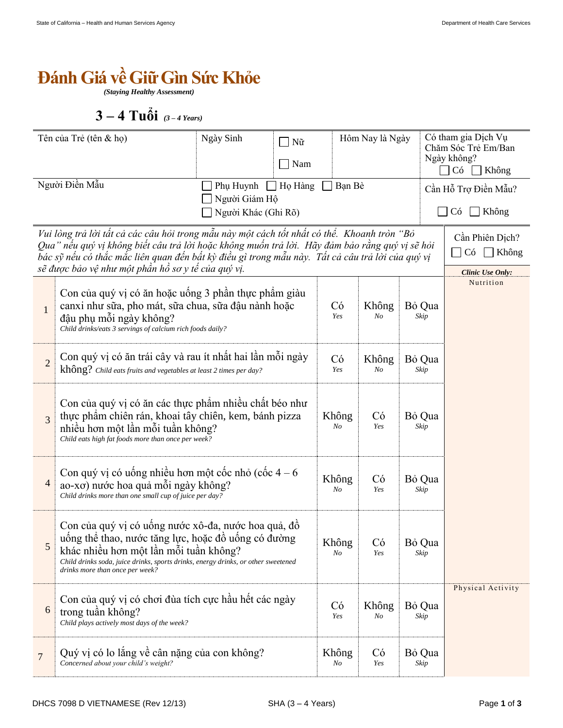## *<u>Bánh Giá về Giữ Gìn Sức Khỏe</u>*

*(Staying Healthy Assessment)*

 $3 - 4$  Tuổi (3-4 Years)

| Tên của Trẻ (tên & họ)                                                                                                                                                                                                                                                                                                                                                                                                      |                                                                                                                                                                                                                                                                              | Ngày Sinh | Nữ<br>Nam | Hôm Nay là Ngày |                         |                                            | Có tham gia Dịch Vụ<br>Chăm Sóc Trẻ Em/Ban<br>Ngày không?<br>Có<br>Không |  |
|-----------------------------------------------------------------------------------------------------------------------------------------------------------------------------------------------------------------------------------------------------------------------------------------------------------------------------------------------------------------------------------------------------------------------------|------------------------------------------------------------------------------------------------------------------------------------------------------------------------------------------------------------------------------------------------------------------------------|-----------|-----------|-----------------|-------------------------|--------------------------------------------|--------------------------------------------------------------------------|--|
| Người Điền Mẫu<br>$\Box$ Họ Hàng<br>Phụ Huynh<br>Người Giám Hộ<br>Người Khác (Ghi Rõ)                                                                                                                                                                                                                                                                                                                                       |                                                                                                                                                                                                                                                                              |           | Bạn Bè    |                 |                         | Cần Hỗ Trợ Điền Mẫu?<br>Không<br>$\Box$ Có |                                                                          |  |
| Vui lòng trả lời tất cả các câu hỏi trong mẫu này một cách tốt nhất có thể. Khoanh tròn "Bỏ<br>Cần Phiên Dịch?<br>Qua" nếu quý vị không biết câu trả lời hoặc không muốn trả lời. Hãy đảm bảo rằng quý vị sẽ hỏi<br>Có<br>$\Box$ Không<br>bác sỹ nếu có thắc mắc liên quan đến bất kỳ điều gì trong mẫu này. Tất cả câu trả lời của quý vị<br>sẽ được bảo vệ như một phần hồ sơ y tế của quý vị.<br><b>Clinic Use Only:</b> |                                                                                                                                                                                                                                                                              |           |           |                 |                         |                                            |                                                                          |  |
| $\mathbf{1}$                                                                                                                                                                                                                                                                                                                                                                                                                | Con của quý vị có ăn hoặc uống 3 phần thực phẩm giàu<br>canxi như sữa, pho mát, sữa chua, sữa đậu nành hoặc<br>đậu phụ mỗi ngày không?<br>Child drinks/eats 3 servings of calcium rich foods daily?                                                                          |           |           |                 | Không<br>N <sub>O</sub> | Bỏ Qua<br>Skip                             | Nutrition                                                                |  |
| $\overline{2}$                                                                                                                                                                                                                                                                                                                                                                                                              | Con quý vị có ăn trái cây và rau ít nhất hai lần mỗi ngày<br>không? Child eats fruits and vegetables at least 2 times per day?                                                                                                                                               |           |           |                 | Không<br>$N_{O}$        | Bỏ Qua<br>Skip                             |                                                                          |  |
| 3                                                                                                                                                                                                                                                                                                                                                                                                                           | Con của quý vị có ăn các thực phẩm nhiều chất béo như<br>thực phẩm chiến rán, khoai tây chiến, kem, bánh pizza<br>nhiều hơn một lần mỗi tuần không?<br>Child eats high fat foods more than once per week?                                                                    |           |           |                 | Có<br>Yes               | Bỏ Qua<br>Skip                             |                                                                          |  |
| $\overline{4}$                                                                                                                                                                                                                                                                                                                                                                                                              | Con quý vị có uống nhiều hơn một cốc nhỏ (cốc $4-6$<br>ao-xơ) nước hoa quả mỗi ngày không?<br>Child drinks more than one small cup of juice per day?                                                                                                                         |           |           | Không<br>No     | Có<br>Yes               | Bỏ Qua<br>Skip                             |                                                                          |  |
| 5                                                                                                                                                                                                                                                                                                                                                                                                                           | Con của quý vị có uống nước xô-đa, nước hoa quả, đồ<br>uống thể thao, nước tăng lực, hoặc đồ uống có đường<br>khác nhiều hơn một lần mỗi tuần không?<br>Child drinks soda, juice drinks, sports drinks, energy drinks, or other sweetened<br>drinks more than once per week? |           |           |                 | Có<br>Yes               | Bỏ Qua<br>Skip                             |                                                                          |  |
| 6                                                                                                                                                                                                                                                                                                                                                                                                                           | Con của quý vị có chơi đùa tích cực hầu hết các ngày<br>trong tuần không?<br>Child plays actively most days of the week?                                                                                                                                                     |           |           | Có<br>Yes       | Không<br>No             | Bỏ Qua<br>Skip                             | Physical Activity                                                        |  |
| $\overline{7}$                                                                                                                                                                                                                                                                                                                                                                                                              | Quý vị có lo lắng về cân nặng của con không?<br>Concerned about your child's weight?                                                                                                                                                                                         |           |           |                 | Có<br>Yes               | Bỏ Qua<br>Skip                             |                                                                          |  |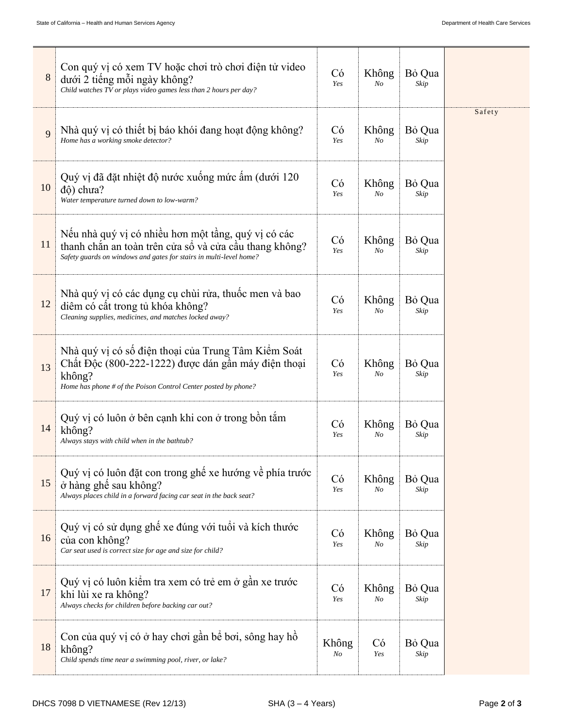| 8  | Con quý vị có xem TV hoặc chơi trò chơi điện tử video<br>dưới 2 tiếng mỗi ngày không?<br>Child watches TV or plays video games less than 2 hours per day?                              | Có<br>Yes   | Không<br>No             | Bỏ Qua<br>Skip |        |
|----|----------------------------------------------------------------------------------------------------------------------------------------------------------------------------------------|-------------|-------------------------|----------------|--------|
| 9  | Nhà quý vị có thiết bị báo khói đang hoạt động không?<br>Home has a working smoke detector?                                                                                            | Có<br>Yes   | Không<br>No             | Bỏ Qua<br>Skip | Safety |
| 10 | Quý vị đã đặt nhiệt độ nước xuống mức ấm (dưới 120<br>độ) chưa?<br>Water temperature turned down to low-warm?                                                                          | Có<br>Yes   | Không<br>N <sub>O</sub> | Bỏ Qua<br>Skip |        |
| 11 | Nếu nhà quý vị có nhiều hơn một tầng, quý vị có các<br>thanh chắn an toàn trên cửa sổ và cửa cầu thang không?<br>Safety guards on windows and gates for stairs in multi-level home?    | Có<br>Yes   | Không<br>No             | Bỏ Qua<br>Skip |        |
| 12 | Nhà quý vị có các dụng cụ chùi rửa, thuộc men và bao<br>diệm có cất trong tủ khóa không?<br>Cleaning supplies, medicines, and matches locked away?                                     | Có<br>Yes   | Không<br>No             | Bỏ Qua<br>Skip |        |
| 13 | Nhà quý vị có số điện thoại của Trung Tâm Kiểm Soát<br>Chất Độc (800-222-1222) được dán gần máy điện thoại<br>không?<br>Home has phone # of the Poison Control Center posted by phone? | Có<br>Yes   | Không<br>No             | Bỏ Qua<br>Skip |        |
| 14 | Quý vị có luôn ở bên cạnh khi con ở trong bồn tắm<br>không?<br>Always stays with child when in the bathtub?                                                                            | Có<br>Yes   | Không<br>No             | Bỏ Qua<br>Skip |        |
| 15 | Quý vị có luôn đặt con trong ghế xe hướng về phía trước<br>ở hàng ghế sau không?<br>Always places child in a forward facing car seat in the back seat?                                 | Có<br>Yes   | Không<br>No             | Bỏ Qua<br>Skip |        |
| 16 | Quý vị có sử dụng ghế xe đúng với tuổi và kích thước<br>của con không?<br>Car seat used is correct size for age and size for child?                                                    | Có<br>Yes   | Không<br>No             | Bỏ Qua<br>Skip |        |
| 17 | Quý vị có luôn kiếm tra xem có trẻ em ở gần xe trước<br>khi lùi xe ra không?<br>Always checks for children before backing car out?                                                     | Có<br>Yes   | Không<br>No             | Bỏ Qua<br>Skip |        |
| 18 | Con của quý vị có ở hay chơi gần bế bơi, sông hay hồ<br>không?<br>Child spends time near a swimming pool, river, or lake?                                                              | Không<br>No | Có<br>Yes               | Bỏ Qua<br>Skip |        |